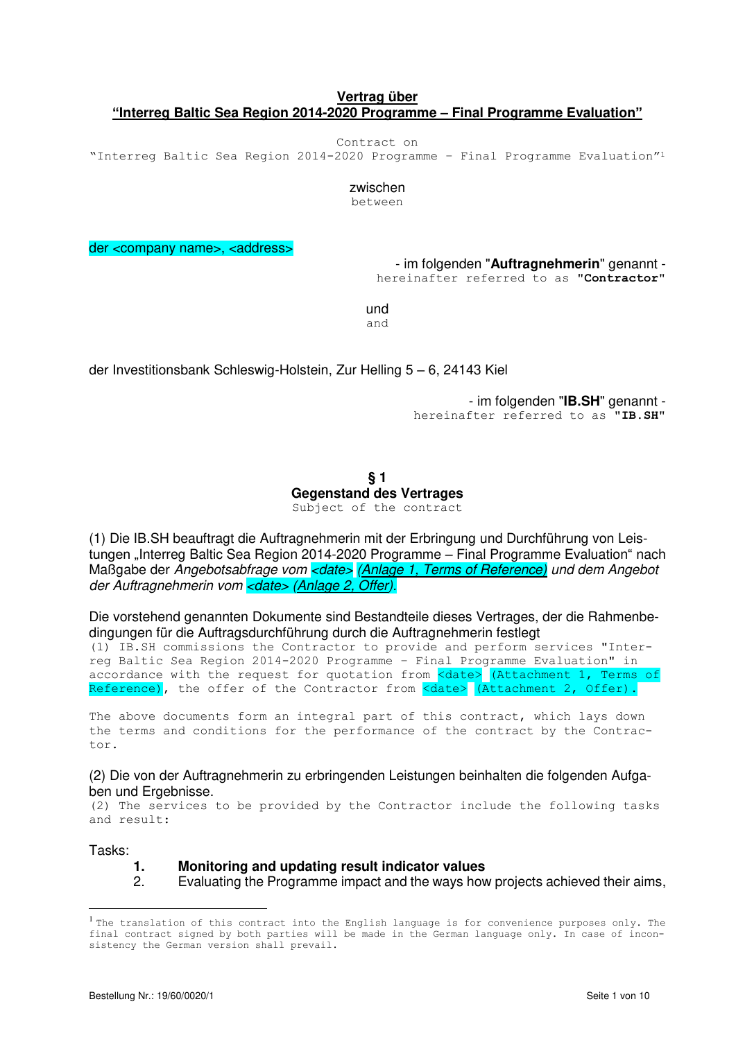# **Vertrag über "Interreg Baltic Sea Region 2014-2020 Programme – Final Programme Evaluation"**

Contract on

"Interreg Baltic Sea Region 2014-2020 Programme – Final Programme Evaluation"<sup>1</sup>

zwischen

between

der <company name>, <address>

- im folgenden "**Auftragnehmerin**" genannt hereinafter referred to as "**Contractor**"

und and

der Investitionsbank Schleswig-Holstein, Zur Helling 5 – 6, 24143 Kiel

- im folgenden "**IB.SH**" genannt hereinafter referred to as "**IB.SH**"

**§ 1 Gegenstand des Vertrages** Subject of the contract

(1) Die IB.SH beauftragt die Auftragnehmerin mit der Erbringung und Durchführung von Leistungen "Interreg Baltic Sea Region 2014-2020 Programme – Final Programme Evaluation" nach Maßgabe der Angebotsabfrage vom <date> (Anlage 1, Terms of Reference) und dem Angebot der Auftragnehmerin vom <date> (Anlage 2, Offer).

Die vorstehend genannten Dokumente sind Bestandteile dieses Vertrages, der die Rahmenbedingungen für die Auftragsdurchführung durch die Auftragnehmerin festlegt

(1) IB.SH commissions the Contractor to provide and perform services "Interreg Baltic Sea Region 2014-2020 Programme – Final Programme Evaluation" in accordance with the request for quotation from <date> (Attachment 1, Terms of Reference), the offer of the Contractor from <date> (Attachment 2, Offer).

The above documents form an integral part of this contract, which lays down the terms and conditions for the performance of the contract by the Contractor.

(2) Die von der Auftragnehmerin zu erbringenden Leistungen beinhalten die folgenden Aufgaben und Ergebnisse.

(2) The services to be provided by the Contractor include the following tasks and result:

Tasks:

 $\overline{a}$ 

#### **1. Monitoring and updating result indicator values**

2. Evaluating the Programme impact and the ways how projects achieved their aims,

<sup>&</sup>lt;sup>1</sup> The translation of this contract into the English language is for convenience purposes only. The final contract signed by both parties will be made in the German language only. In case of inconsistency the German version shall prevail.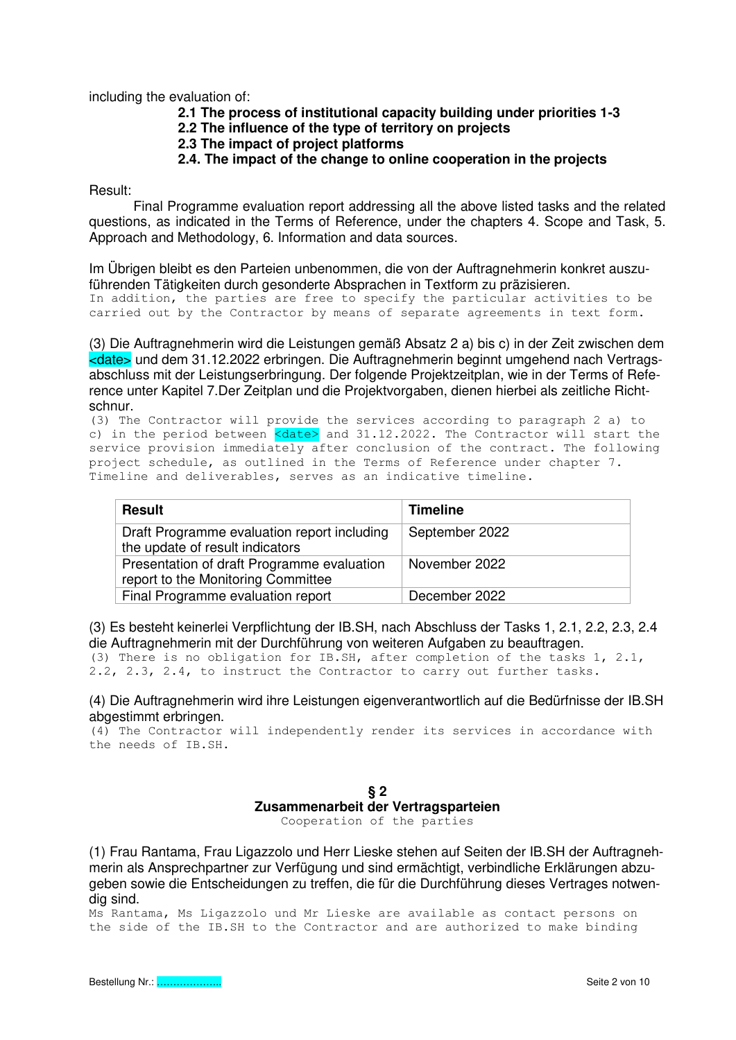including the evaluation of:

- **2.1 The process of institutional capacity building under priorities 1-3**
- **2.2 The influence of the type of territory on projects**
- **2.3 The impact of project platforms**
- **2.4. The impact of the change to online cooperation in the projects**

Result:

 Final Programme evaluation report addressing all the above listed tasks and the related questions, as indicated in the Terms of Reference, under the chapters 4. Scope and Task, 5. Approach and Methodology, 6. Information and data sources.

Im Übrigen bleibt es den Parteien unbenommen, die von der Auftragnehmerin konkret auszuführenden Tätigkeiten durch gesonderte Absprachen in Textform zu präzisieren.

```
In addition, the parties are free to specify the particular activities to be 
carried out by the Contractor by means of separate agreements in text form.
```
(3) Die Auftragnehmerin wird die Leistungen gemäß Absatz 2 a) bis c) in der Zeit zwischen dem <date> und dem 31.12.2022 erbringen. Die Auftragnehmerin beginnt umgehend nach Vertragsabschluss mit der Leistungserbringung. Der folgende Projektzeitplan, wie in der Terms of Reference unter Kapitel 7.Der Zeitplan und die Projektvorgaben, dienen hierbei als zeitliche Richtschnur.

(3) The Contractor will provide the services according to paragraph 2 a) to c) in the period between  $\langle \text{date}\rangle$  and 31.12.2022. The Contractor will start the service provision immediately after conclusion of the contract. The following project schedule, as outlined in the Terms of Reference under chapter 7. Timeline and deliverables, serves as an indicative timeline.

| <b>Result</b>                                                                    | <b>Timeline</b> |
|----------------------------------------------------------------------------------|-----------------|
| Draft Programme evaluation report including<br>the update of result indicators   | September 2022  |
| Presentation of draft Programme evaluation<br>report to the Monitoring Committee | November 2022   |
| Final Programme evaluation report                                                | December 2022   |

(3) Es besteht keinerlei Verpflichtung der IB.SH, nach Abschluss der Tasks 1, 2.1, 2.2, 2.3, 2.4 die Auftragnehmerin mit der Durchführung von weiteren Aufgaben zu beauftragen.

(3) There is no obligation for IB.SH, after completion of the tasks 1, 2.1, 2.2, 2.3, 2.4, to instruct the Contractor to carry out further tasks.

(4) Die Auftragnehmerin wird ihre Leistungen eigenverantwortlich auf die Bedürfnisse der IB.SH abgestimmt erbringen.

(4) The Contractor will independently render its services in accordance with the needs of IB.SH.

> **§ 2 Zusammenarbeit der Vertragsparteien**

Cooperation of the parties

(1) Frau Rantama, Frau Ligazzolo und Herr Lieske stehen auf Seiten der IB.SH der Auftragnehmerin als Ansprechpartner zur Verfügung und sind ermächtigt, verbindliche Erklärungen abzugeben sowie die Entscheidungen zu treffen, die für die Durchführung dieses Vertrages notwendig sind.

Ms Rantama, Ms Ligazzolo und Mr Lieske are available as contact persons on the side of the IB.SH to the Contractor and are authorized to make binding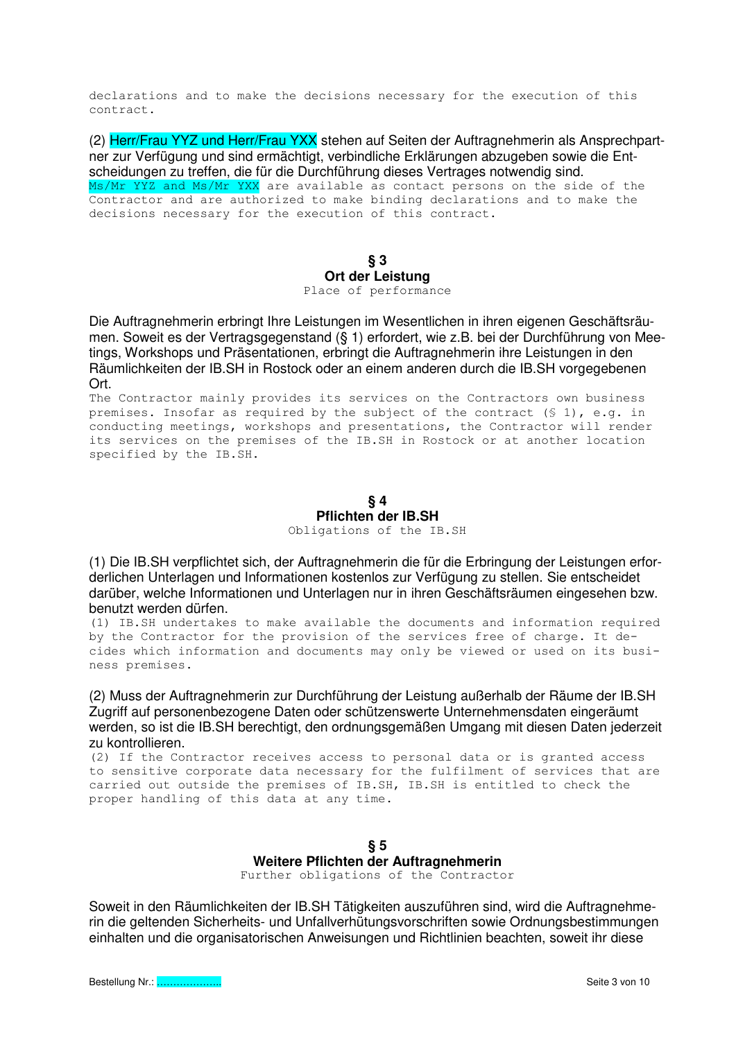declarations and to make the decisions necessary for the execution of this contract.

(2) Herr/Frau YYZ und Herr/Frau YXX stehen auf Seiten der Auftragnehmerin als Ansprechpartner zur Verfügung und sind ermächtigt, verbindliche Erklärungen abzugeben sowie die Entscheidungen zu treffen, die für die Durchführung dieses Vertrages notwendig sind. Ms/Mr YYZ and Ms/Mr YXX are available as contact persons on the side of the Contractor and are authorized to make binding declarations and to make the decisions necessary for the execution of this contract.

> **§ 3 Ort der Leistung**  Place of performance

Die Auftragnehmerin erbringt Ihre Leistungen im Wesentlichen in ihren eigenen Geschäftsräumen. Soweit es der Vertragsgegenstand (§ 1) erfordert, wie z.B. bei der Durchführung von Meetings, Workshops und Präsentationen, erbringt die Auftragnehmerin ihre Leistungen in den Räumlichkeiten der IB.SH in Rostock oder an einem anderen durch die IB.SH vorgegebenen Ort.

The Contractor mainly provides its services on the Contractors own business premises. Insofar as required by the subject of the contract  $(S_1)$ , e.g. in conducting meetings, workshops and presentations, the Contractor will render its services on the premises of the IB.SH in Rostock or at another location specified by the IB.SH.

> **§ 4 Pflichten der IB.SH** Obligations of the IB.SH

(1) Die IB.SH verpflichtet sich, der Auftragnehmerin die für die Erbringung der Leistungen erforderlichen Unterlagen und Informationen kostenlos zur Verfügung zu stellen. Sie entscheidet darüber, welche Informationen und Unterlagen nur in ihren Geschäftsräumen eingesehen bzw. benutzt werden dürfen.

(1) IB.SH undertakes to make available the documents and information required by the Contractor for the provision of the services free of charge. It decides which information and documents may only be viewed or used on its business premises.

(2) Muss der Auftragnehmerin zur Durchführung der Leistung außerhalb der Räume der IB.SH Zugriff auf personenbezogene Daten oder schützenswerte Unternehmensdaten eingeräumt werden, so ist die IB.SH berechtigt, den ordnungsgemäßen Umgang mit diesen Daten jederzeit zu kontrollieren.

(2) If the Contractor receives access to personal data or is granted access to sensitive corporate data necessary for the fulfilment of services that are carried out outside the premises of IB.SH, IB.SH is entitled to check the proper handling of this data at any time.

> **§ 5 Weitere Pflichten der Auftragnehmerin**  Further obligations of the Contractor

Soweit in den Räumlichkeiten der IB.SH Tätigkeiten auszuführen sind, wird die Auftragnehmerin die geltenden Sicherheits- und Unfallverhütungsvorschriften sowie Ordnungsbestimmungen einhalten und die organisatorischen Anweisungen und Richtlinien beachten, soweit ihr diese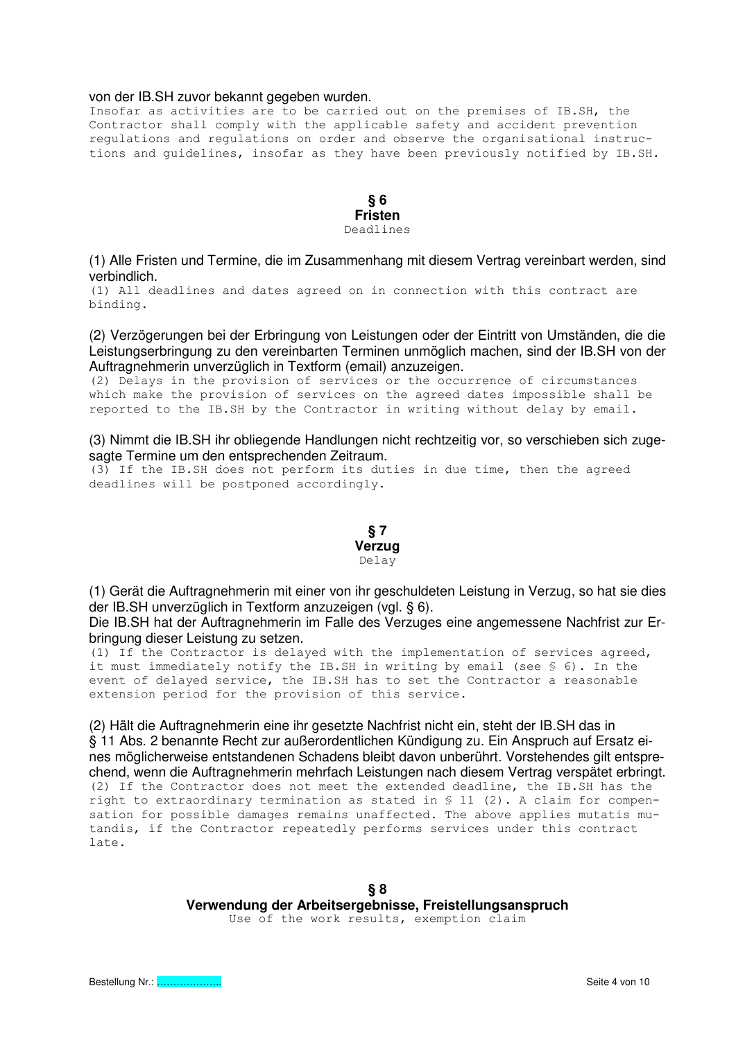#### von der IB.SH zuvor bekannt gegeben wurden.

Insofar as activities are to be carried out on the premises of IB.SH, the Contractor shall comply with the applicable safety and accident prevention regulations and regulations on order and observe the organisational instructions and guidelines, insofar as they have been previously notified by IB.SH.

#### **§ 6 Fristen** Deadlines

(1) Alle Fristen und Termine, die im Zusammenhang mit diesem Vertrag vereinbart werden, sind verbindlich.

(1) All deadlines and dates agreed on in connection with this contract are binding.

(2) Verzögerungen bei der Erbringung von Leistungen oder der Eintritt von Umständen, die die Leistungserbringung zu den vereinbarten Terminen unmöglich machen, sind der IB.SH von der Auftragnehmerin unverzüglich in Textform (email) anzuzeigen.

(2) Delays in the provision of services or the occurrence of circumstances which make the provision of services on the agreed dates impossible shall be reported to the IB.SH by the Contractor in writing without delay by email.

(3) Nimmt die IB.SH ihr obliegende Handlungen nicht rechtzeitig vor, so verschieben sich zugesagte Termine um den entsprechenden Zeitraum.

(3) If the IB.SH does not perform its duties in due time, then the agreed deadlines will be postponed accordingly.



(1) Gerät die Auftragnehmerin mit einer von ihr geschuldeten Leistung in Verzug, so hat sie dies der IB.SH unverzüglich in Textform anzuzeigen (vgl. § 6).

Die IB.SH hat der Auftragnehmerin im Falle des Verzuges eine angemessene Nachfrist zur Erbringung dieser Leistung zu setzen.

(1) If the Contractor is delayed with the implementation of services agreed, it must immediately notify the IB.SH in writing by email (see § 6). In the event of delayed service, the IB.SH has to set the Contractor a reasonable extension period for the provision of this service.

(2) Hält die Auftragnehmerin eine ihr gesetzte Nachfrist nicht ein, steht der IB.SH das in § 11 Abs. 2 benannte Recht zur außerordentlichen Kündigung zu. Ein Anspruch auf Ersatz eines möglicherweise entstandenen Schadens bleibt davon unberührt. Vorstehendes gilt entsprechend, wenn die Auftragnehmerin mehrfach Leistungen nach diesem Vertrag verspätet erbringt. (2) If the Contractor does not meet the extended deadline, the IB.SH has the right to extraordinary termination as stated in § 11 (2). A claim for compensation for possible damages remains unaffected. The above applies mutatis mutandis, if the Contractor repeatedly performs services under this contract late.

> **§ 8 Verwendung der Arbeitsergebnisse, Freistellungsanspruch**  Use of the work results, exemption claim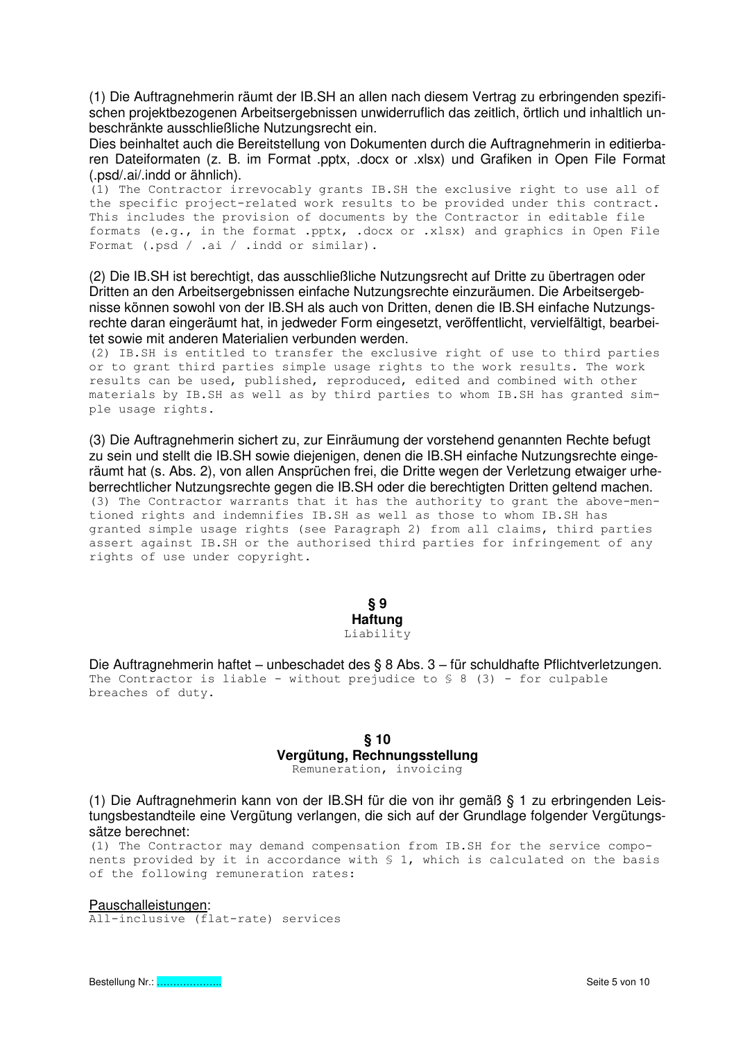(1) Die Auftragnehmerin räumt der IB.SH an allen nach diesem Vertrag zu erbringenden spezifischen projektbezogenen Arbeitsergebnissen unwiderruflich das zeitlich, örtlich und inhaltlich unbeschränkte ausschließliche Nutzungsrecht ein.

Dies beinhaltet auch die Bereitstellung von Dokumenten durch die Auftragnehmerin in editierbaren Dateiformaten (z. B. im Format .pptx, .docx or .xlsx) und Grafiken in Open File Format (.psd/.ai/.indd or ähnlich).

(1) The Contractor irrevocably grants IB.SH the exclusive right to use all of the specific project-related work results to be provided under this contract. This includes the provision of documents by the Contractor in editable file formats (e.g., in the format .pptx, .docx or .xlsx) and graphics in Open File Format (.psd / .ai / .indd or similar).

(2) Die IB.SH ist berechtigt, das ausschließliche Nutzungsrecht auf Dritte zu übertragen oder Dritten an den Arbeitsergebnissen einfache Nutzungsrechte einzuräumen. Die Arbeitsergebnisse können sowohl von der IB.SH als auch von Dritten, denen die IB.SH einfache Nutzungsrechte daran eingeräumt hat, in jedweder Form eingesetzt, veröffentlicht, vervielfältigt, bearbeitet sowie mit anderen Materialien verbunden werden.

(2) IB.SH is entitled to transfer the exclusive right of use to third parties or to grant third parties simple usage rights to the work results. The work results can be used, published, reproduced, edited and combined with other materials by IB.SH as well as by third parties to whom IB.SH has granted simple usage rights.

(3) Die Auftragnehmerin sichert zu, zur Einräumung der vorstehend genannten Rechte befugt zu sein und stellt die IB.SH sowie diejenigen, denen die IB.SH einfache Nutzungsrechte eingeräumt hat (s. Abs. 2), von allen Ansprüchen frei, die Dritte wegen der Verletzung etwaiger urheberrechtlicher Nutzungsrechte gegen die IB.SH oder die berechtigten Dritten geltend machen. (3) The Contractor warrants that it has the authority to grant the above-mentioned rights and indemnifies IB.SH as well as those to whom IB.SH has granted simple usage rights (see Paragraph 2) from all claims, third parties assert against IB.SH or the authorised third parties for infringement of any rights of use under copyright.

> **§ 9 Haftung** Liability

Die Auftragnehmerin haftet – unbeschadet des § 8 Abs. 3 – für schuldhafte Pflichtverletzungen. The Contractor is liable - without prejudice to  $\S$  8 (3) - for culpable breaches of duty.

# **§ 10 Vergütung, Rechnungsstellung**

Remuneration, invoicing

(1) Die Auftragnehmerin kann von der IB.SH für die von ihr gemäß § 1 zu erbringenden Leistungsbestandteile eine Vergütung verlangen, die sich auf der Grundlage folgender Vergütungssätze berechnet:

(1) The Contractor may demand compensation from IB.SH for the service components provided by it in accordance with § 1, which is calculated on the basis of the following remuneration rates:

#### Pauschalleistungen:

All-inclusive (flat-rate) services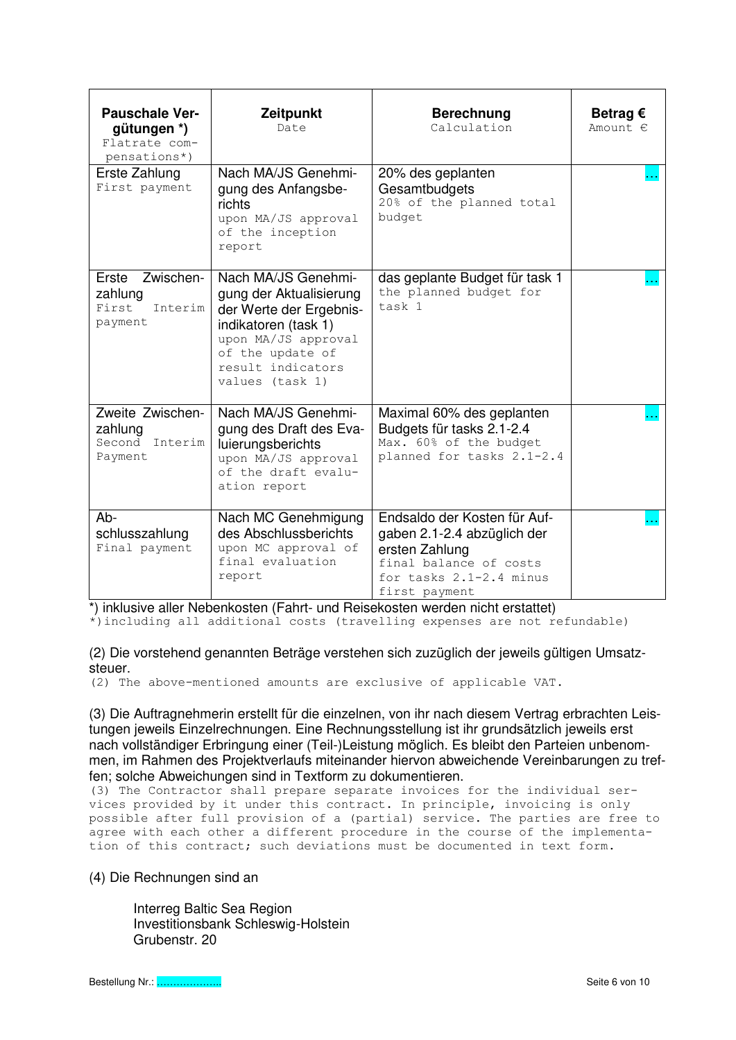| <b>Pauschale Ver-</b><br>gütungen *)<br>Flatrate com-<br>pensations*) | Zeitpunkt<br>Date                                                                                                                                                                    | <b>Berechnung</b><br>Calculation                                                                                                                        | Betrag $\epsilon$<br>Amount. € |
|-----------------------------------------------------------------------|--------------------------------------------------------------------------------------------------------------------------------------------------------------------------------------|---------------------------------------------------------------------------------------------------------------------------------------------------------|--------------------------------|
| Erste Zahlung<br>First payment                                        | Nach MA/JS Genehmi-<br>gung des Anfangsbe-<br>richts<br>upon MA/JS approval<br>of the inception<br>report                                                                            | 20% des geplanten<br>Gesamtbudgets<br>20% of the planned total<br>budget                                                                                |                                |
| Erste Zwischen-<br>zahlung<br>First<br>Interim<br>payment             | Nach MA/JS Genehmi-<br>gung der Aktualisierung<br>der Werte der Ergebnis-<br>indikatoren (task 1)<br>upon MA/JS approval<br>of the update of<br>result indicators<br>values (task 1) | das geplante Budget für task 1<br>the planned budget for<br>task 1                                                                                      |                                |
| Zweite Zwischen-<br>zahlung<br>Second Interim<br>Payment              | Nach MA/JS Genehmi-<br>gung des Draft des Eva-<br>luierungsberichts<br>upon MA/JS approval<br>of the draft evalu-<br>ation report                                                    | Maximal 60% des geplanten<br>Budgets für tasks 2.1-2.4<br>Max. 60% of the budget<br>planned for tasks 2.1-2.4                                           |                                |
| Ab-<br>schlusszahlung<br>Final payment                                | Nach MC Genehmigung<br>des Abschlussberichts<br>upon MC approval of<br>final evaluation<br>report                                                                                    | Endsaldo der Kosten für Auf-<br>gaben 2.1-2.4 abzüglich der<br>ersten Zahlung<br>final balance of costs<br>for tasks $2.1 - 2.4$ minus<br>first payment |                                |

\*) inklusive aller Nebenkosten (Fahrt- und Reisekosten werden nicht erstattet) \*)including all additional costs (travelling expenses are not refundable)

(2) Die vorstehend genannten Beträge verstehen sich zuzüglich der jeweils gültigen Umsatzsteuer.

(2) The above-mentioned amounts are exclusive of applicable VAT.

(3) Die Auftragnehmerin erstellt für die einzelnen, von ihr nach diesem Vertrag erbrachten Leistungen jeweils Einzelrechnungen. Eine Rechnungsstellung ist ihr grundsätzlich jeweils erst nach vollständiger Erbringung einer (Teil-)Leistung möglich. Es bleibt den Parteien unbenommen, im Rahmen des Projektverlaufs miteinander hiervon abweichende Vereinbarungen zu treffen; solche Abweichungen sind in Textform zu dokumentieren.

(3) The Contractor shall prepare separate invoices for the individual services provided by it under this contract. In principle, invoicing is only possible after full provision of a (partial) service. The parties are free to agree with each other a different procedure in the course of the implementation of this contract; such deviations must be documented in text form.

(4) Die Rechnungen sind an

 Interreg Baltic Sea Region Investitionsbank Schleswig-Holstein Grubenstr. 20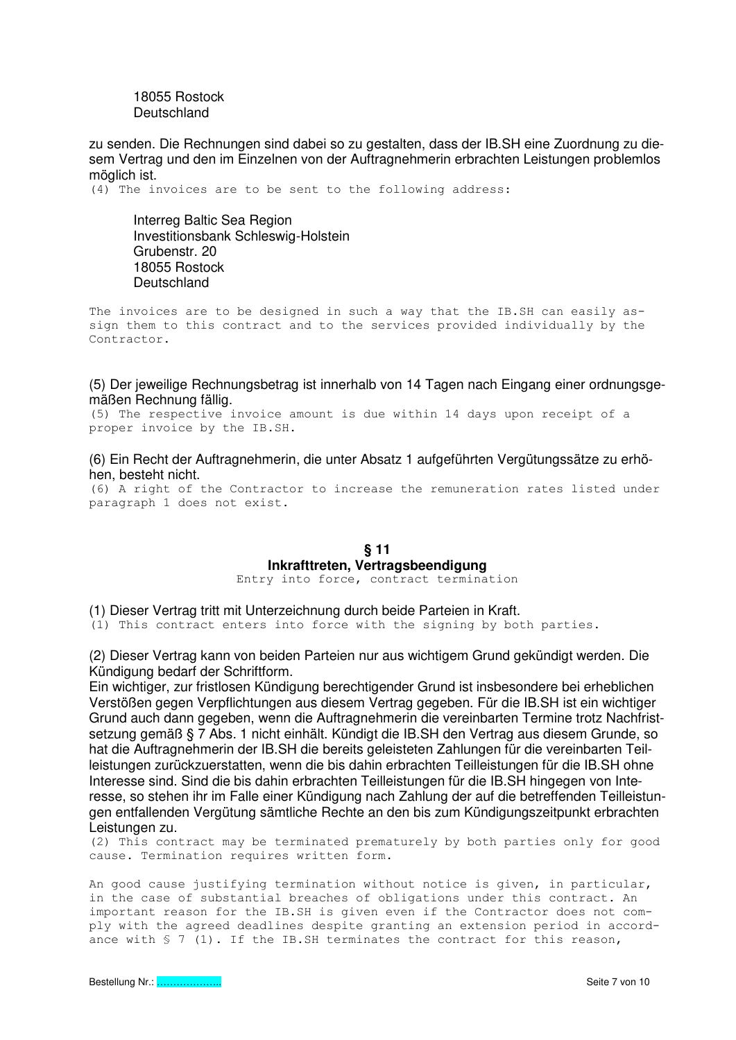#### 18055 Rostock Deutschland

zu senden. Die Rechnungen sind dabei so zu gestalten, dass der IB.SH eine Zuordnung zu diesem Vertrag und den im Einzelnen von der Auftragnehmerin erbrachten Leistungen problemlos möglich ist.

(4) The invoices are to be sent to the following address:

 Interreg Baltic Sea Region Investitionsbank Schleswig-Holstein Grubenstr. 20 18055 Rostock Deutschland

The invoices are to be designed in such a way that the IB.SH can easily assign them to this contract and to the services provided individually by the Contractor.

# (5) Der jeweilige Rechnungsbetrag ist innerhalb von 14 Tagen nach Eingang einer ordnungsgemäßen Rechnung fällig.

(5) The respective invoice amount is due within 14 days upon receipt of a proper invoice by the IB.SH.

# (6) Ein Recht der Auftragnehmerin, die unter Absatz 1 aufgeführten Vergütungssätze zu erhöhen, besteht nicht.

(6) A right of the Contractor to increase the remuneration rates listed under paragraph 1 does not exist.

# **§ 11 Inkrafttreten, Vertragsbeendigung**

Entry into force, contract termination

(1) Dieser Vertrag tritt mit Unterzeichnung durch beide Parteien in Kraft.

(1) This contract enters into force with the signing by both parties.

(2) Dieser Vertrag kann von beiden Parteien nur aus wichtigem Grund gekündigt werden. Die Kündigung bedarf der Schriftform.

Ein wichtiger, zur fristlosen Kündigung berechtigender Grund ist insbesondere bei erheblichen Verstößen gegen Verpflichtungen aus diesem Vertrag gegeben. Für die IB.SH ist ein wichtiger Grund auch dann gegeben, wenn die Auftragnehmerin die vereinbarten Termine trotz Nachfristsetzung gemäß § 7 Abs. 1 nicht einhält. Kündigt die IB.SH den Vertrag aus diesem Grunde, so hat die Auftragnehmerin der IB.SH die bereits geleisteten Zahlungen für die vereinbarten Teilleistungen zurückzuerstatten, wenn die bis dahin erbrachten Teilleistungen für die IB.SH ohne Interesse sind. Sind die bis dahin erbrachten Teilleistungen für die IB.SH hingegen von Interesse, so stehen ihr im Falle einer Kündigung nach Zahlung der auf die betreffenden Teilleistungen entfallenden Vergütung sämtliche Rechte an den bis zum Kündigungszeitpunkt erbrachten Leistungen zu.

(2) This contract may be terminated prematurely by both parties only for good cause. Termination requires written form.

An good cause justifying termination without notice is given, in particular, in the case of substantial breaches of obligations under this contract. An important reason for the IB.SH is given even if the Contractor does not comply with the agreed deadlines despite granting an extension period in accordance with § 7 (1). If the IB.SH terminates the contract for this reason,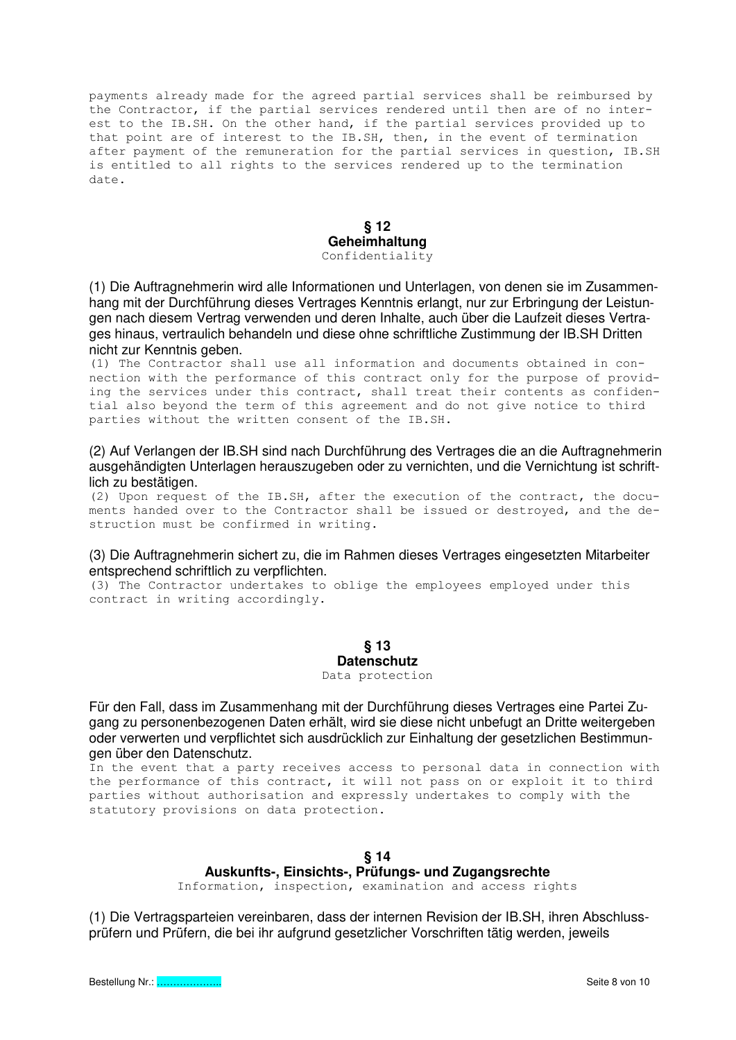payments already made for the agreed partial services shall be reimbursed by the Contractor, if the partial services rendered until then are of no interest to the IB.SH. On the other hand, if the partial services provided up to that point are of interest to the IB.SH, then, in the event of termination after payment of the remuneration for the partial services in question, IB.SH is entitled to all rights to the services rendered up to the termination date.

> **§ 12 Geheimhaltung** Confidentiality

(1) Die Auftragnehmerin wird alle Informationen und Unterlagen, von denen sie im Zusammenhang mit der Durchführung dieses Vertrages Kenntnis erlangt, nur zur Erbringung der Leistungen nach diesem Vertrag verwenden und deren Inhalte, auch über die Laufzeit dieses Vertrages hinaus, vertraulich behandeln und diese ohne schriftliche Zustimmung der IB.SH Dritten nicht zur Kenntnis geben.

(1) The Contractor shall use all information and documents obtained in connection with the performance of this contract only for the purpose of providing the services under this contract, shall treat their contents as confidential also beyond the term of this agreement and do not give notice to third parties without the written consent of the IB.SH.

(2) Auf Verlangen der IB.SH sind nach Durchführung des Vertrages die an die Auftragnehmerin ausgehändigten Unterlagen herauszugeben oder zu vernichten, und die Vernichtung ist schriftlich zu bestätigen.

(2) Upon request of the IB.SH, after the execution of the contract, the documents handed over to the Contractor shall be issued or destroyed, and the destruction must be confirmed in writing.

#### (3) Die Auftragnehmerin sichert zu, die im Rahmen dieses Vertrages eingesetzten Mitarbeiter entsprechend schriftlich zu verpflichten.

(3) The Contractor undertakes to oblige the employees employed under this contract in writing accordingly.

> **§ 13 Datenschutz**

Data protection

Für den Fall, dass im Zusammenhang mit der Durchführung dieses Vertrages eine Partei Zugang zu personenbezogenen Daten erhält, wird sie diese nicht unbefugt an Dritte weitergeben oder verwerten und verpflichtet sich ausdrücklich zur Einhaltung der gesetzlichen Bestimmungen über den Datenschutz.

In the event that a party receives access to personal data in connection with the performance of this contract, it will not pass on or exploit it to third parties without authorisation and expressly undertakes to comply with the statutory provisions on data protection.

# **§ 14**

# **Auskunfts-, Einsichts-, Prüfungs- und Zugangsrechte**

Information, inspection, examination and access rights

(1) Die Vertragsparteien vereinbaren, dass der internen Revision der IB.SH, ihren Abschlussprüfern und Prüfern, die bei ihr aufgrund gesetzlicher Vorschriften tätig werden, jeweils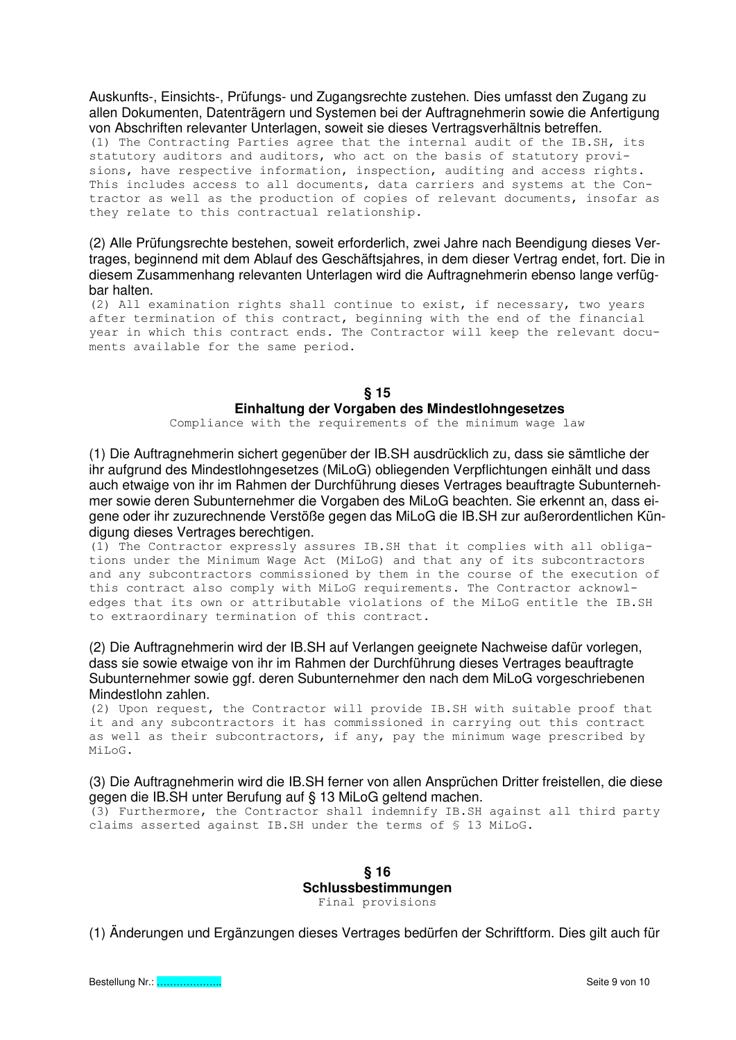Auskunfts-, Einsichts-, Prüfungs- und Zugangsrechte zustehen. Dies umfasst den Zugang zu allen Dokumenten, Datenträgern und Systemen bei der Auftragnehmerin sowie die Anfertigung von Abschriften relevanter Unterlagen, soweit sie dieses Vertragsverhältnis betreffen.

(1) The Contracting Parties agree that the internal audit of the IB.SH, its statutory auditors and auditors, who act on the basis of statutory provisions, have respective information, inspection, auditing and access rights. This includes access to all documents, data carriers and systems at the Contractor as well as the production of copies of relevant documents, insofar as they relate to this contractual relationship.

(2) Alle Prüfungsrechte bestehen, soweit erforderlich, zwei Jahre nach Beendigung dieses Vertrages, beginnend mit dem Ablauf des Geschäftsjahres, in dem dieser Vertrag endet, fort. Die in diesem Zusammenhang relevanten Unterlagen wird die Auftragnehmerin ebenso lange verfügbar halten.

(2) All examination rights shall continue to exist, if necessary, two years after termination of this contract, beginning with the end of the financial year in which this contract ends. The Contractor will keep the relevant documents available for the same period.

# **§ 15 Einhaltung der Vorgaben des Mindestlohngesetzes**

Compliance with the requirements of the minimum wage law

(1) Die Auftragnehmerin sichert gegenüber der IB.SH ausdrücklich zu, dass sie sämtliche der ihr aufgrund des Mindestlohngesetzes (MiLoG) obliegenden Verpflichtungen einhält und dass auch etwaige von ihr im Rahmen der Durchführung dieses Vertrages beauftragte Subunternehmer sowie deren Subunternehmer die Vorgaben des MiLoG beachten. Sie erkennt an, dass eigene oder ihr zuzurechnende Verstöße gegen das MiLoG die IB.SH zur außerordentlichen Kündigung dieses Vertrages berechtigen.

(1) The Contractor expressly assures IB.SH that it complies with all obligations under the Minimum Wage Act (MiLoG) and that any of its subcontractors and any subcontractors commissioned by them in the course of the execution of this contract also comply with MiLoG requirements. The Contractor acknowledges that its own or attributable violations of the MiLoG entitle the IB.SH to extraordinary termination of this contract.

(2) Die Auftragnehmerin wird der IB.SH auf Verlangen geeignete Nachweise dafür vorlegen, dass sie sowie etwaige von ihr im Rahmen der Durchführung dieses Vertrages beauftragte Subunternehmer sowie ggf. deren Subunternehmer den nach dem MiLoG vorgeschriebenen Mindestlohn zahlen.

(2) Upon request, the Contractor will provide IB.SH with suitable proof that it and any subcontractors it has commissioned in carrying out this contract as well as their subcontractors, if any, pay the minimum wage prescribed by MiLoG.

#### (3) Die Auftragnehmerin wird die IB.SH ferner von allen Ansprüchen Dritter freistellen, die diese gegen die IB.SH unter Berufung auf § 13 MiLoG geltend machen.

(3) Furthermore, the Contractor shall indemnify IB.SH against all third party claims asserted against IB.SH under the terms of § 13 MiLoG.

> **§ 16 Schlussbestimmungen** Final provisions

(1) Änderungen und Ergänzungen dieses Vertrages bedürfen der Schriftform. Dies gilt auch für